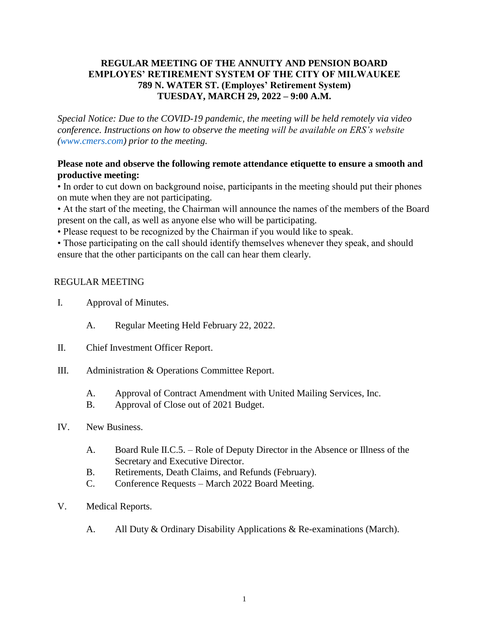#### **REGULAR MEETING OF THE ANNUITY AND PENSION BOARD EMPLOYES' RETIREMENT SYSTEM OF THE CITY OF MILWAUKEE 789 N. WATER ST. (Employes' Retirement System) TUESDAY, MARCH 29, 2022 – 9:00 A.M.**

*Special Notice: Due to the COVID-19 pandemic, the meeting will be held remotely via video conference. Instructions on how to observe the meeting will be available on ERS's website [\(www.cmers.com\)](http://www.cmers.com/) prior to the meeting.*

#### **Please note and observe the following remote attendance etiquette to ensure a smooth and productive meeting:**

• In order to cut down on background noise, participants in the meeting should put their phones on mute when they are not participating.

• At the start of the meeting, the Chairman will announce the names of the members of the Board present on the call, as well as anyone else who will be participating.

• Please request to be recognized by the Chairman if you would like to speak.

• Those participating on the call should identify themselves whenever they speak, and should ensure that the other participants on the call can hear them clearly.

## REGULAR MEETING

- I. Approval of Minutes.
	- A. Regular Meeting Held February 22, 2022.
- II. Chief Investment Officer Report.
- III. Administration & Operations Committee Report.
	- A. Approval of Contract Amendment with United Mailing Services, Inc.
	- B. Approval of Close out of 2021 Budget.
- IV. New Business.
	- A. Board Rule II.C.5. Role of Deputy Director in the Absence or Illness of the Secretary and Executive Director.
	- B. Retirements, Death Claims, and Refunds (February).
	- C. Conference Requests March 2022 Board Meeting.
- V. Medical Reports.
	- A. All Duty & Ordinary Disability Applications & Re-examinations (March).